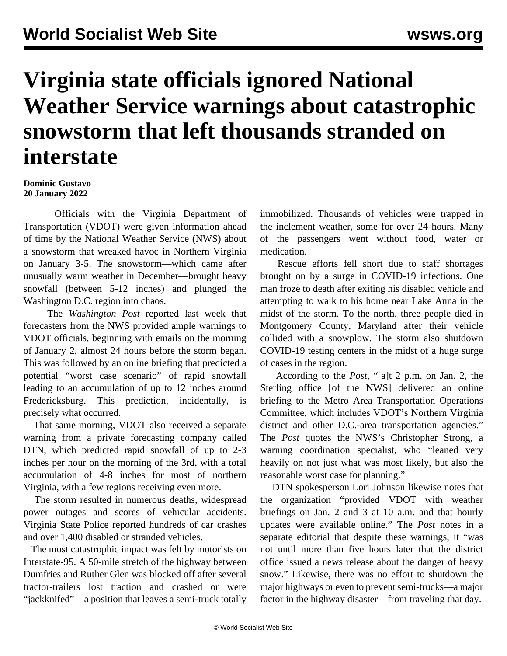## **Virginia state officials ignored National Weather Service warnings about catastrophic snowstorm that left thousands stranded on interstate**

## **Dominic Gustavo 20 January 2022**

 Officials with the Virginia Department of Transportation (VDOT) were given information ahead of time by the National Weather Service (NWS) about a snowstorm that wreaked havoc in Northern Virginia on January 3-5. The [snowstorm](/en/articles/2022/01/05/snow-j05.html)—which came after unusually warm weather in December—brought heavy snowfall (between 5-12 inches) and plunged the Washington D.C. region into chaos.

 The *Washington Post* reported last week that forecasters from the NWS provided ample warnings to VDOT officials, beginning with emails on the morning of January 2, almost 24 hours before the storm began. This was followed by an online briefing that predicted a potential "worst case scenario" of rapid snowfall leading to an accumulation of up to 12 inches around Fredericksburg. This prediction, incidentally, is precisely what occurred.

 That same morning, VDOT also received a separate warning from a private forecasting company called DTN, which predicted rapid snowfall of up to 2-3 inches per hour on the morning of the 3rd, with a total accumulation of 4-8 inches for most of northern Virginia, with a few regions receiving even more.

 The storm resulted in numerous deaths, widespread power outages and scores of vehicular accidents. Virginia State Police reported hundreds of car crashes and over 1,400 disabled or stranded vehicles.

 The most catastrophic impact was felt by motorists on Interstate-95. A 50-mile stretch of the highway between Dumfries and Ruther Glen was blocked off after several tractor-trailers lost traction and crashed or were "jackknifed"—a position that leaves a semi-truck totally immobilized. Thousands of vehicles were trapped in the inclement weather, some for over 24 hours. Many of the passengers went without food, water or medication.

 Rescue efforts fell short due to staff shortages brought on by a surge in COVID-19 infections. One man froze to death after exiting his disabled vehicle and attempting to walk to his home near Lake Anna in the midst of the storm. To the north, three people died in Montgomery County, Maryland after their vehicle collided with a snowplow. The storm also shutdown COVID-19 testing centers in the midst of a huge surge of cases in the region.

 According to the *Post*, "[a]t 2 p.m. on Jan. 2, the Sterling office [of the NWS] delivered an online briefing to the Metro Area Transportation Operations Committee, which includes VDOT's Northern Virginia district and other D.C.-area transportation agencies." The *Post* quotes the NWS's Christopher Strong, a warning coordination specialist, who "leaned very heavily on not just what was most likely, but also the reasonable worst case for planning."

 DTN spokesperson Lori Johnson likewise notes that the organization "provided VDOT with weather briefings on Jan. 2 and 3 at 10 a.m. and that hourly updates were available online." The *Post* notes in a separate editorial that despite these warnings, it "was not until more than five hours later that the district office issued a news release about the danger of heavy snow." Likewise, there was no effort to shutdown the major highways or even to prevent semi-trucks—a major factor in the highway disaster—from traveling that day.